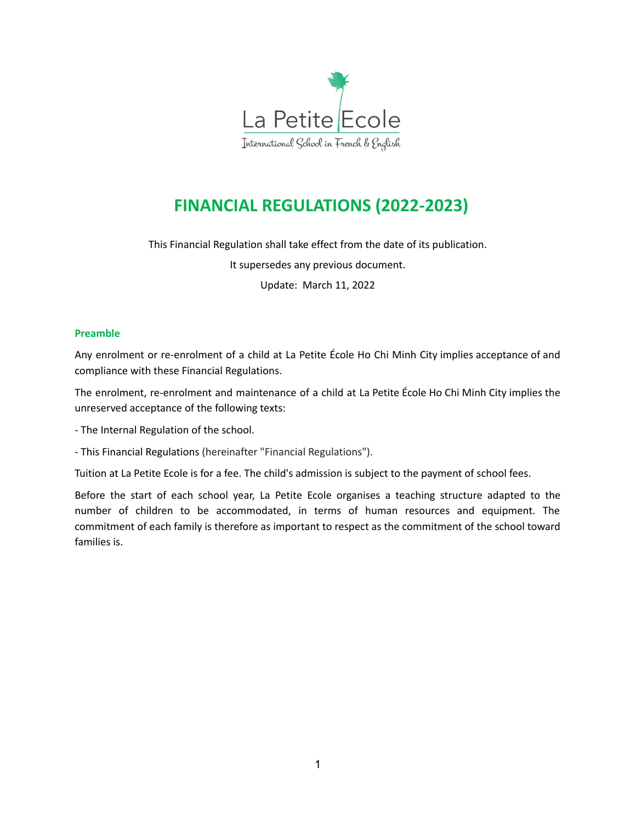

# **FINANCIAL REGULATIONS (2022-2023)**

This Financial Regulation shall take effect from the date of its publication.

It supersedes any previous document.

Update: March 11, 2022

#### **Preamble**

Any enrolment or re-enrolment of a child at La Petite École Ho Chi Minh City implies acceptance of and compliance with these Financial Regulations.

The enrolment, re-enrolment and maintenance of a child at La Petite École Ho Chi Minh City implies the unreserved acceptance of the following texts:

- The Internal Regulation of the school.

- This Financial Regulations (hereinafter "Financial Regulations").

Tuition at La Petite Ecole is for a fee. The child's admission is subject to the payment of school fees.

Before the start of each school year, La Petite Ecole organises a teaching structure adapted to the number of children to be accommodated, in terms of human resources and equipment. The commitment of each family is therefore as important to respect as the commitment of the school toward families is.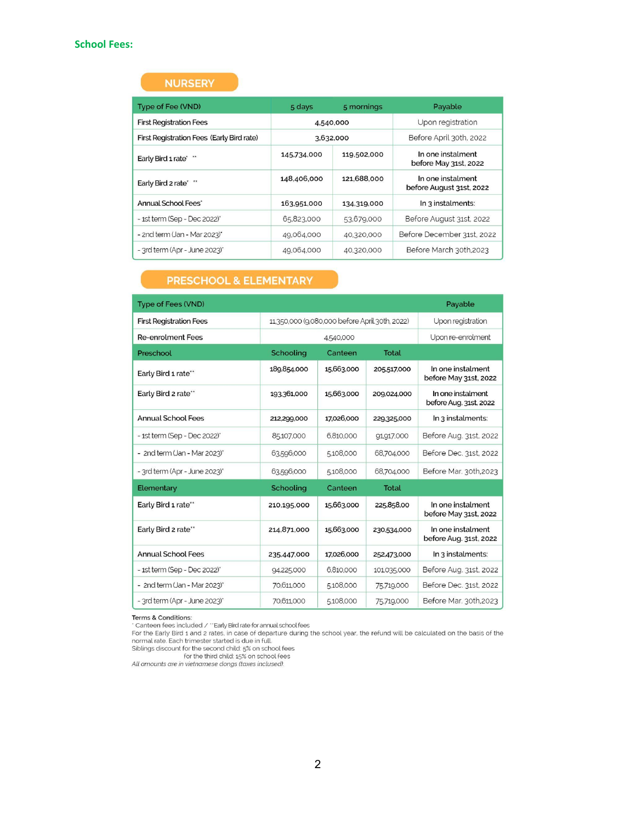# **NURSERY**

| Type of Fee (VND)                         | 5 days      | 5 mornings  | Payable                                       |  |
|-------------------------------------------|-------------|-------------|-----------------------------------------------|--|
| <b>First Registration Fees</b>            | 4,540,000   |             | Upon registration                             |  |
| First Registration Fees (Early Bird rate) | 3,632,000   |             | Before April 30th, 2022                       |  |
| Early Bird 1 rate* **                     | 145,734,000 | 119,502,000 | In one instalment<br>before May 31st, 2022    |  |
| Early Bird 2 rate* **                     | 148,406,000 | 121,688,000 | In one instalment<br>before August 31st, 2022 |  |
| Annual School Fees*                       | 163.951.000 | 134.319,000 | In 3 instalments:                             |  |
| - 1st term (Sep - Dec 2022)*              | 65,823,000  | 53,679,000  | Before August 31st, 2022                      |  |
| - 2nd term (Jan - Mar 2023)*              | 49,064,000  | 40,320,000  | Before December 31st, 2022                    |  |
| - 3rd term (Apr - June 2023)*             | 49,064,000  | 40,320,000  | Before March 30th.2023                        |  |

# **PRESCHOOL & ELEMENTARY**

| <b>Type of Fees (VND)</b>      |             |                                                |                   | Payable                                     |
|--------------------------------|-------------|------------------------------------------------|-------------------|---------------------------------------------|
| <b>First Registration Fees</b> |             | 11,350,000 (9,080,000 before April 30th, 2022) | Upon registration |                                             |
| <b>Re-enrolment Fees</b>       | 4,540,000   |                                                |                   | Upon re-enrolment                           |
| Preschool                      | Schooling   | Canteen                                        | <b>Total</b>      |                                             |
| Early Bird 1 rate**            | 189,854,000 | 15,663,000                                     | 205,517,000       | In one instalment<br>before May 31st, 2022  |
| Early Bird 2 rate**            | 193,361,000 | 15,663,000                                     | 209,024,000       | In one instalment<br>before Aug. 31st, 2022 |
| <b>Annual School Fees</b>      | 212,299,000 | 17,026,000                                     | 229,325,000       | In 3 instalments:                           |
| - 1st term (Sep - Dec 2022)*   | 85,107,000  | 6.810.000                                      | 91,917,000        | Before Aug. 31st, 2022                      |
| - 2nd term (Jan - Mar 2023)*   | 63,596,000  | 5,108,000                                      | 68,704,000        | Before Dec. 31st, 2022                      |
| - 3rd term (Apr - June 2023)*  | 63,596,000  | 5,108,000                                      | 68,704,000        | Before Mar. 30th,2023                       |
| Elementary                     | Schooling   | Canteen                                        | <b>Total</b>      |                                             |
| Early Bird 1 rate"             | 210,195,000 | 15,663,000                                     | 225,858,00        | In one instalment<br>before May 31st, 2022  |
| Early Bird 2 rate**            | 214,871,000 | 15,663,000                                     | 230,534,000       | In one instalment<br>before Aug. 31st, 2022 |
| <b>Annual School Fees</b>      | 235,447,000 | 17.026,000                                     | 252,473,000       | In 3 instalments:                           |
| - 1st term (Sep - Dec 2022)*   | 94,225,000  | 6,810,000                                      | 101,035,000       | Before Aug. 31st, 2022                      |
| - 2nd term (Jan - Mar 2023)*   | 70,611,000  | 5,108,000                                      | 75,719,000        | Before Dec. 31st, 2022                      |
| - 3rd term (Apr - June 2023)*  | 70,611,000  | 5,108,000                                      | 75,719,000        | Before Mar. 30th,2023                       |

Terms & Conditions:<br>
"Canteen fees included / "Early Bird rate for annual school fees<br>
For the Early Bird 1 and 2 rates, in case of departure during the school year, the refund will be calculated on the basis of the<br>
norma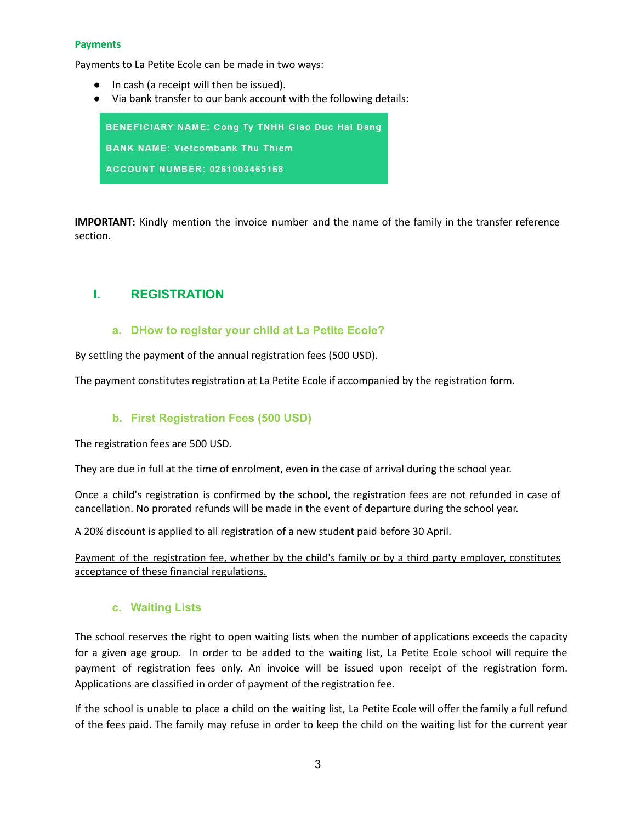#### **Payments**

Payments to La Petite Ecole can be made in two ways:

- In cash (a receipt will then be issued).
- Via bank transfer to our bank account with the following details:

**BENEFICIARY NAME: Cong Ty TNHH Giao Duc Hai Dang BANK NAME: Vietcombank Thu Thiem ACCOUNT NUMBER: 0261003465168** 

**IMPORTANT:** Kindly mention the invoice number and the name of the family in the transfer reference section.

# **I. REGISTRATION**

### **a. DHow to register your child at La Petite Ecole?**

By settling the payment of the annual registration fees (500 USD).

The payment constitutes registration at La Petite Ecole if accompanied by the registration form.

# **b. First Registration Fees (500 USD)**

The registration fees are 500 USD.

They are due in full at the time of enrolment, even in the case of arrival during the school year.

Once a child's registration is confirmed by the school, the registration fees are not refunded in case of cancellation. No prorated refunds will be made in the event of departure during the school year.

A 20% discount is applied to all registration of a new student paid before 30 April.

Payment of the registration fee, whether by the child's family or by a third party employer, constitutes acceptance of these financial regulations.

#### **c. Waiting Lists**

The school reserves the right to open waiting lists when the number of applications exceeds the capacity for a given age group. In order to be added to the waiting list, La Petite Ecole school will require the payment of registration fees only. An invoice will be issued upon receipt of the registration form. Applications are classified in order of payment of the registration fee.

If the school is unable to place a child on the waiting list, La Petite Ecole will offer the family a full refund of the fees paid. The family may refuse in order to keep the child on the waiting list for the current year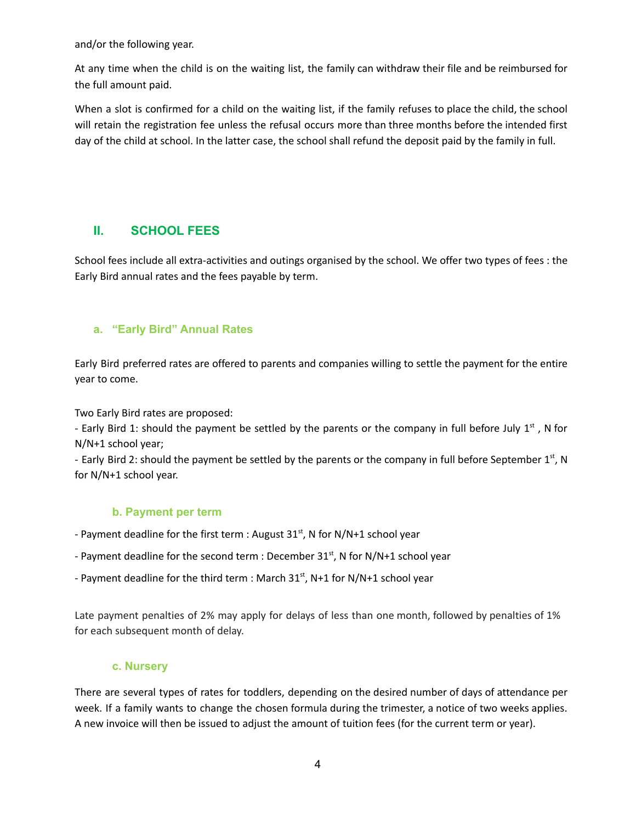and/or the following year.

At any time when the child is on the waiting list, the family can withdraw their file and be reimbursed for the full amount paid.

When a slot is confirmed for a child on the waiting list, if the family refuses to place the child, the school will retain the registration fee unless the refusal occurs more than three months before the intended first day of the child at school. In the latter case, the school shall refund the deposit paid by the family in full.

# **II. SCHOOL FEES**

School fees include all extra-activities and outings organised by the school. We offer two types of fees : the Early Bird annual rates and the fees payable by term.

# **a. "Early Bird" Annual Rates**

Early Bird preferred rates are offered to parents and companies willing to settle the payment for the entire year to come.

Two Early Bird rates are proposed:

- Early Bird 1: should the payment be settled by the parents or the company in full before July  $1^{st}$  , N for N/N+1 school year;

- Early Bird 2: should the payment be settled by the parents or the company in full before September 1st, N for N/N+1 school year.

# **b. Payment per term**

- Payment deadline for the first term : August  $31<sup>st</sup>$ , N for N/N+1 school year
- Payment deadline for the second term : December  $31<sup>st</sup>$ , N for N/N+1 school year
- Payment deadline for the third term : March 31<sup>st</sup>, N+1 for N/N+1 school year

Late payment penalties of 2% may apply for delays of less than one month, followed by penalties of 1% for each subsequent month of delay.

# **c. Nursery**

There are several types of rates for toddlers, depending on the desired number of days of attendance per week. If a family wants to change the chosen formula during the trimester, a notice of two weeks applies. A new invoice will then be issued to adjust the amount of tuition fees (for the current term or year).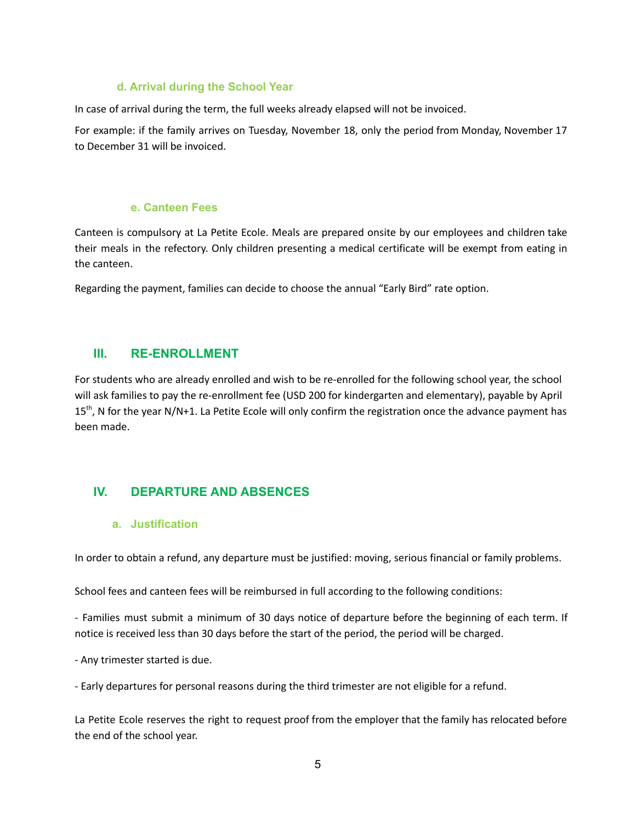### **d. Arrival during the School Year**

In case of arrival during the term, the full weeks already elapsed will not be invoiced.

For example: if the family arrives on Tuesday, November 18, only the period from Monday, November 17 to December 31 will be invoiced.

#### **e. Canteen Fees**

Canteen is compulsory at La Petite Ecole. Meals are prepared onsite by our employees and children take their meals in the refectory. Only children presenting a medical certificate will be exempt from eating in the canteen.

Regarding the payment, families can decide to choose the annual "Early Bird" rate option.

# **III. RE-ENROLLMENT**

For students who are already enrolled and wish to be re-enrolled for the following school year, the school will ask families to pay the re-enrollment fee (USD 200 for kindergarten and elementary), payable by April 15<sup>th</sup>, N for the year N/N+1. La Petite Ecole will only confirm the registration once the advance payment has been made.

# **IV. DEPARTURE AND ABSENCES**

#### **a. Justification**

In order to obtain a refund, any departure must be justified: moving, serious financial or family problems.

School fees and canteen fees will be reimbursed in full according to the following conditions:

- Families must submit a minimum of 30 days notice of departure before the beginning of each term. If notice is received less than 30 days before the start of the period, the period will be charged.

- Any trimester started is due.

- Early departures for personal reasons during the third trimester are not eligible for a refund.

La Petite Ecole reserves the right to request proof from the employer that the family has relocated before the end of the school year.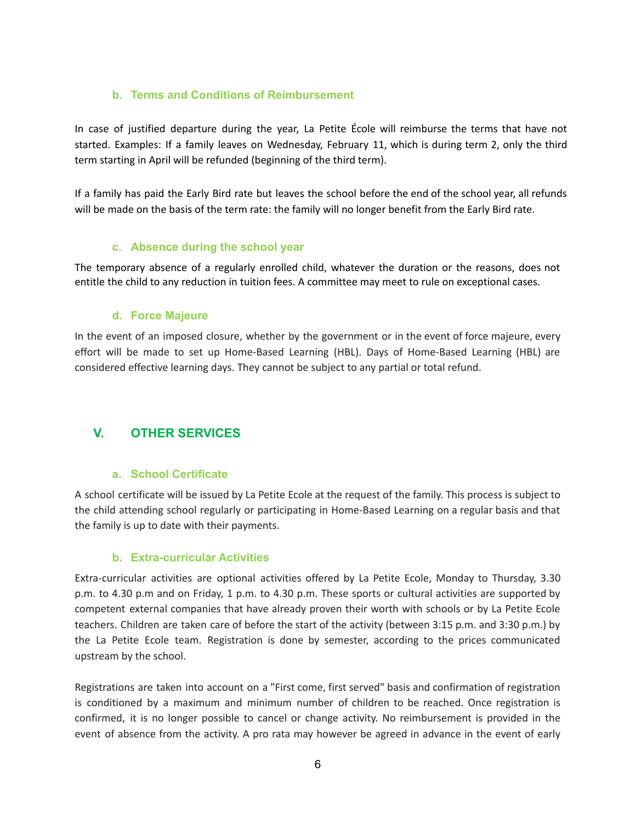# **b. Terms and Conditions of Reimbursement**

In case of justified departure during the year, La Petite École will reimburse the terms that have not started. Examples: If a family leaves on Wednesday, February 11, which is during term 2, only the third term starting in April will be refunded (beginning of the third term).

If a family has paid the Early Bird rate but leaves the school before the end of the school year, all refunds will be made on the basis of the term rate: the family will no longer benefit from the Early Bird rate.

# **c. Absence during the school year**

The temporary absence of a regularly enrolled child, whatever the duration or the reasons, does not entitle the child to any reduction in tuition fees. A committee may meet to rule on exceptional cases.

### **d. Force Majeure**

In the event of an imposed closure, whether by the government or in the event of force majeure, every effort will be made to set up Home-Based Learning (HBL). Days of Home-Based Learning (HBL) are considered effective learning days. They cannot be subject to any partial or total refund.

# **V. OTHER SERVICES**

# **a. School Certificate**

A school certificate will be issued by La Petite Ecole at the request of the family. This process is subject to the child attending school regularly or participating in Home-Based Learning on a regular basis and that the family is up to date with their payments.

# **b. Extra-curricular Activities**

Extra-curricular activities are optional activities offered by La Petite Ecole, Monday to Thursday, 3.30 p.m. to 4.30 p.m and on Friday, 1 p.m. to 4.30 p.m. These sports or cultural activities are supported by competent external companies that have already proven their worth with schools or by La Petite Ecole teachers. Children are taken care of before the start of the activity (between 3:15 p.m. and 3:30 p.m.) by the La Petite Ecole team. Registration is done by semester, according to the prices communicated upstream by the school.

Registrations are taken into account on a "First come, first served" basis and confirmation of registration is conditioned by a maximum and minimum number of children to be reached. Once registration is confirmed, it is no longer possible to cancel or change activity. No reimbursement is provided in the event of absence from the activity. A pro rata may however be agreed in advance in the event of early